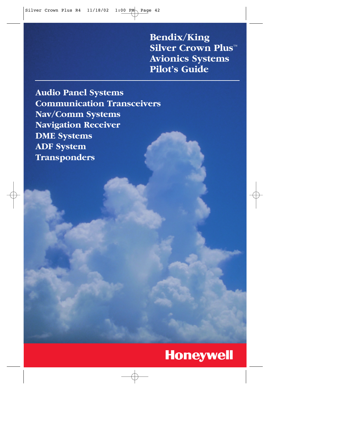**Bendix/King Silver Crown Plus™ Avionics Systems Pilot's Guide**

**Audio Panel Systems Communication Transceivers Nav/Comm Systems Navigation Receiver DME Systems ADF System Transponders**

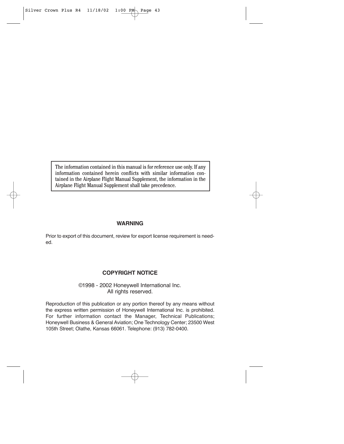The information contained in this manual is for reference use only. If any information contained herein conflicts with similar information contained in the Airplane Flight Manual Supplement, the information in the Airplane Flight Manual Supplement shall take precedence.

### **WARNING**

Prior to export of this document, review for export license requirement is needed.

### **COPYRIGHT NOTICE**

©1998 - 2002 Honeywell International Inc. All rights reserved.

Reproduction of this publication or any portion thereof by any means without the express written permission of Honeywell International Inc. is prohibited. For further information contact the Manager, Technical Publications; Honeywell Business & General Aviation; One Technology Center; 23500 West 105th Street; Olathe, Kansas 66061. Telephone: (913) 782-0400.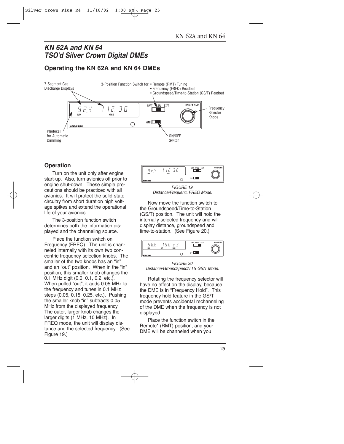# *KN 62A and KN 64 TSO'd Silver Crown Digital DMEs*

# **Operating the KN 62A and KN 64 DMEs**



# **Operation**

Turn on the unit only after engine start-up. Also, turn avionics off prior to engine shut-down. These simple precautions should be practiced with all avionics. It will protect the solid-state circuitry from short duration high voltage spikes and extend the operational life of your avionics.

The 3-position function switch determines both the information displayed and the channeling source.

Place the function switch on Frequency (FREQ). The unit is channeled internally with its own two concentric frequency selection knobs. The smaller of the two knobs has an "in" and an "out" position. When in the "in" position, this smaller knob changes the 0.1 MHz digit (0.0, 0.1, 0.2, etc.). When pulled "out", it adds 0.05 MHz to the frequency and tunes in 0.1 MHz steps (0.05, 0.15, 0.25, etc.). Pushing the smaller knob "in" subtracts 0.05 MHz from the displayed frequency. The outer, larger knob changes the larger digits (1 MHz, 10 MHz). In FREQ mode, the unit will display distance and the selected frequency. (See Figure 19.)



*FIGURE 19. Distance/Frequenc. FREQ Mode.*

Now move the function switch to the Groundspeed/Time-to-Station (GS/T) position. The unit will hold the internally selected frequency and will display distance, groundspeed and time-to-station. (See Figure 20.)



*FIGURE 20. Distance/Groundspeed/TTS GS/T Mode.*

Rotating the frequency selector will have no effect on the display, because the DME is in "Frequency Hold". This frequency hold feature in the GS/T mode prevents accidental rechanneling of the DME when the frequency is not displayed.

Place the function switch in the Remote\* (RMT) position, and your DME will be channeled when you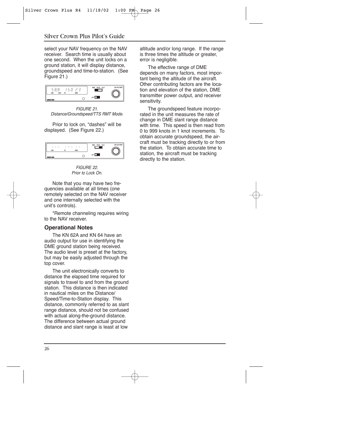select your NAV frequency on the NAV receiver. Search time is usually about one second. When the unit locks on a ground station, it will display distance, groundspeed and time-to-station. (See Figure 21.)



*FIGURE 21. Distance/Groundspeed/TTS RMT Mode.*

Prior to lock on, "dashes" will be displayed. (See Figure 22.)



*FIGURE 22. Prior to Lock On.*

Note that you may have two frequencies available at all times (one remotely selected on the NAV receiver and one internally selected with the unit's controls).

\*Remote channeling requires wiring to the NAV receiver.

### **Operational Notes**

The KN 62A and KN 64 have an audio output for use in identifying the DME ground station being received. The audio level is preset at the factory, but may be easily adjusted through the top cover.

The unit electronically converts to distance the elapsed time required for signals to travel to and from the ground station. This distance is then indicated in nautical miles on the Distance/ Speed/Time-to-Station display. This distance, commonly referred to as slant range distance, should not be confused with actual along-the-ground distance. The difference between actual ground distance and slant range is least at low

altitude and/or long range. If the range is three times the altitude or greater, error is negligible.

The effective range of DME depends on many factors, most important being the altitude of the aircraft. Other contributing factors are the location and elevation of the station, DME transmitter power output, and receiver sensitivity.

The groundspeed feature incorporated in the unit measures the rate of change in DME slant range distance with time. This speed is then read from 0 to 999 knots in 1 knot increments. To obtain accurate groundspeed, the aircraft must be tracking directly to or from the station. To obtain accurate time to station, the aircraft must be tracking directly to the station.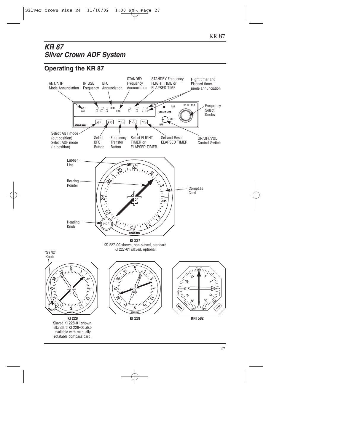# *KR 87 Silver Crown ADF System*

# **Operating the KR 87**

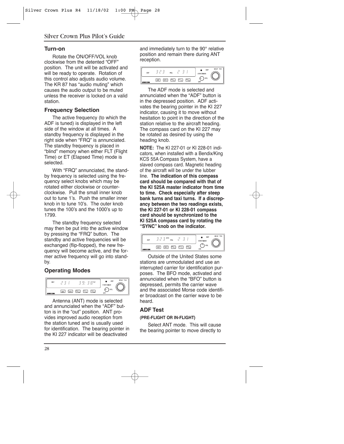### **Turn-on**

Rotate the ON/OFF/VOL knob clockwise from the detented "OFF" position. The unit will be activated and will be ready to operate. Rotation of this control also adjusts audio volume. The KR 87 has "audio muting" which causes the audio output to be muted unless the receiver is locked on a valid station.

## **Frequency Selection**

The active frequency (to which the ADF is tuned) is displayed in the left side of the window at all times. A standby frequency is displayed in the right side when "FRQ" is annunciated. The standby frequency is placed in "blind" memory when either FLT (Flight Time) or ET (Elapsed Time) mode is selected.

With "FRQ" annunciated, the standby frequency is selected using the frequency select knobs which may be rotated either clockwise or counterclockwise. Pull the small inner knob out to tune 1's. Push the smaller inner knob in to tune 10's. The outer knob tunes the 100's and the 1000's up to 1799.

The standby frequency selected may then be put into the active window by pressing the "FRQ" button. The standby and active frequencies will be exchanged (flip-flopped), the new frequency will become active, and the former active frequency will go into standby.

# **Operating Modes**



Antenna (ANT) mode is selected and annunciated when the "ADF" button is in the "out" position. ANT provides improved audio reception from the station tuned and is usually used for identification. The bearing pointer in the KI 227 indicator will be deactivated

and immediately turn to the 90° relative position and remain there during ANT reception.



The ADF mode is selected and annunciated when the "ADF" button is in the depressed position. ADF activates the bearing pointer in the KI 227 indicator, causing it to move without hesitation to point in the direction of the station relative to the aircraft heading. The compass card on the KI 227 may be rotated as desired by using the heading knob.

**NOTE:** The KI 227-01 or KI 228-01 indicators, when installed with a Bendix/King KCS 55A Compass System, have a slaved compass card. Magnetic heading of the aircraft will be under the lubber line. **The indication of this compass card should be compared with that of the KI 525A master indicator from time to time. Check especially after steep bank turns and taxi turns. If a discrepancy between the two readings exists, the KI 227-01 or KI 228-01 compass card should be synchronized to the KI 525A compass card by rotating the "SYNC" knob on the indicator.**



Outside of the United States some stations are unmodulated and use an interrupted carrier for identification purposes. The BFO mode, activated and annunciated when the "BFO" button is depressed, permits the carrier wave and the associated Morse code identifier broadcast on the carrier wave to be heard.

# **ADF Test**

### **(PRE-FLIGHT OR IN-FLIGHT)**

Select ANT mode. This will cause the bearing pointer to move directly to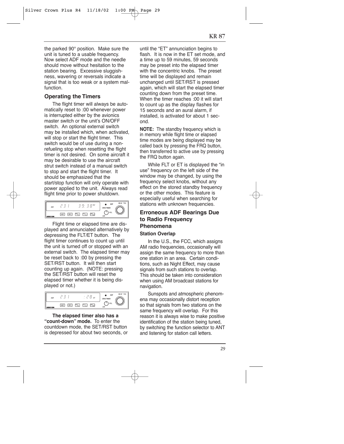the parked 90° position. Make sure the unit is tuned to a usable frequency. Now select ADF mode and the needle should move without hesitation to the station bearing. Excessive sluggishness, wavering or reversals indicate a signal that is too weak or a system malfunction.

## **Operating the Timers**

The flight timer will always be automatically reset to :00 whenever power is interrupted either by the avionics master switch or the unit's ON/OFF switch. An optional external switch may be installed which, when activated, will stop or start the flight timer. This switch would be of use during a nonrefueling stop when resetting the flight timer is not desired. On some aircraft it may be desirable to use the aircraft strut switch instead of a manual switch to stop and start the flight timer. It should be emphasized that the start/stop function will only operate with power applied to the unit. Always read flight time prior to power shutdown.

| ADF                |     |            | <b>FLT</b> |     |                  | ADF<br>STBY/TIMER | <b>KR 87 TSO</b> |
|--------------------|-----|------------|------------|-----|------------------|-------------------|------------------|
| <b>BENDIX KING</b> | ADF | <b>BFO</b> | FFO /<br>7 | Ve. | $W_{\text{LST}}$ | VOL<br>OFF        |                  |

Flight time or elapsed time are displayed and annunciated alternatively by depressing the FLT/ET button. The flight timer continues to count up until the unit is turned off or stopped with an external switch. The elapsed timer may be reset back to :00 by pressing the SET/RST button. It will then start counting up again. (NOTE: pressing the SET/RST button will reset the elapsed timer whether it is being displayed or not.)



**The elapsed timer also has a "count-down" mode.** To enter the countdown mode, the SET/RST button is depressed for about two seconds, or until the "ET" annunciation begins to flash. It is now in the ET set mode, and a time up to 59 minutes, 59 seconds may be preset into the elapsed timer with the concentric knobs. The preset time will be displayed and remain unchanged until SET/RST is pressed again, which will start the elapsed timer counting down from the preset time. When the timer reaches :00 it will start to count up as the display flashes for 15 seconds and an aural alarm, if installed, is activated for about 1 second.

**NOTE:** The standby frequency which is in memory while flight time or elapsed time modes are being displayed may be called back by pressing the FRQ button, then transferred to active use by pressing the FRQ button again.

While FLT or ET is displayed the "in use" frequency on the left side of the window may be changed, by using the frequency select knobs, without any effect on the stored standby frequency or the other modes. This feature is especially useful when searching for stations with unknown frequencies.

## **Erroneous ADF Bearings Due to Radio Frequency Phenomena**

#### **Station Overlap**

In the U.S., the FCC, which assigns AM radio frequencies, occasionally will assign the same frequency to more than one station in an area. Certain conditions, such as Night Effect, may cause signals from such stations to overlap. This should be taken into consideration when using AM broadcast stations for navigation.

Sunspots and atmospheric phenomena may occasionally distort reception so that signals from two stations on the same frequency will overlap. For this reason it is always wise to make positive identification of the station being tuned, by switching the function selector to ANT and listening for station call letters.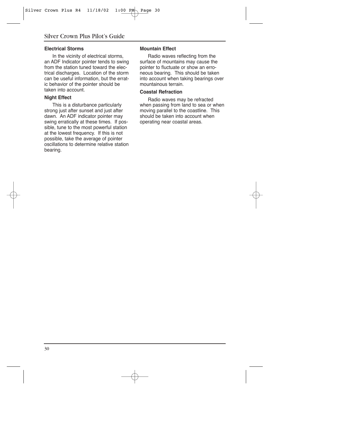#### **Electrical Storms**

In the vicinity of electrical storms, an ADF Indicator pointer tends to swing from the station tuned toward the electrical discharges. Location of the storm can be useful information, but the erratic behavior of the pointer should be taken into account.

#### **Night Effect**

This is a disturbance particularly strong just after sunset and just after dawn. An ADF indicator pointer may swing erratically at these times. If possible, tune to the most powerful station at the lowest frequency. If this is not possible, take the average of pointer oscillations to determine relative station bearing.

#### **Mountain Effect**

Radio waves reflecting from the surface of mountains may cause the pointer to fluctuate or show an erroneous bearing. This should be taken into account when taking bearings over mountainous terrain.

#### **Coastal Refraction**

Radio waves may be refracted when passing from land to sea or when moving parallel to the coastline. This should be taken into account when operating near coastal areas.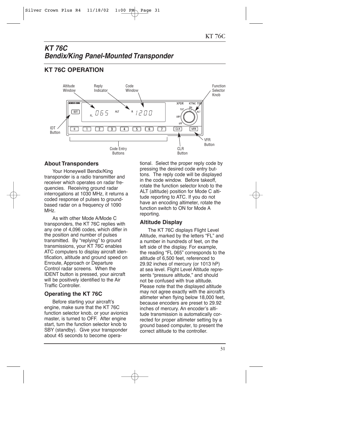# *KT 76C Bendix/King Panel-Mounted Transponder*

# **KT 76C OPERATION**

![](_page_8_Figure_3.jpeg)

## **About Transponders**

Your Honeywell Bendix/King transponder is a radio transmitter and receiver which operates on radar frequencies. Receiving ground radar interrogations at 1030 MHz, it returns a coded response of pulses to groundbased radar on a frequency of 1090 MHz.

As with other Mode A/Mode C transponders, the KT 76C replies with any one of 4,096 codes, which differ in the position and number of pulses transmitted. By "replying" to ground transmissions, your KT 76C enables ATC computers to display aircraft identification, altitude and ground speed on Enroute, Approach or Departure Control radar screens. When the IDENT button is pressed, your aircraft will be positively identified to the Air Traffic Controller.

# **Operating the KT 76C**

Before starting your aircraft's engine, make sure that the KT 76C function selector knob, or your avionics master, is turned to OFF. After engine start, turn the function selector knob to SBY (standby). Give your transponder about 45 seconds to become operational. Select the proper reply code by pressing the desired code entry buttons. The reply code will be displayed in the code window. Before takeoff, rotate the function selector knob to the ALT (altitude) position for Mode C altitude reporting to ATC. If you do not have an encoding altimeter, rotate the function switch to ON for Mode A reporting.

# **Altitude Display**

The KT 76C displays Flight Level Altitude, marked by the letters "FL" and a number in hundreds of feet, on the left side of the display. For example, the reading "FL 065" corresponds to the altitude of 6,500 feet, referenced to 29.92 inches of mercury (or 1013 hP) at sea level. Flight Level Altitude represents "pressure altitude," and should not be confused with true altitude. Please note that the displayed altitude may not agree exactly with the aircraft's altimeter when flying below 18,000 feet, because encoders are preset to 29.92 inches of mercury. An encoder's altitude transmission is automatically corrected for proper altimeter setting by a ground based computer, to present the correct altitude to the controller.